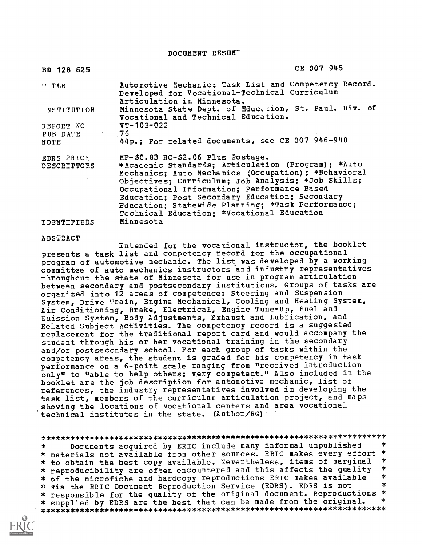DOCUMENT RESUB7

| ED 128 625                                    | CE 007 945                                                                                                                                                                                                                                                                                                                                                                                               |
|-----------------------------------------------|----------------------------------------------------------------------------------------------------------------------------------------------------------------------------------------------------------------------------------------------------------------------------------------------------------------------------------------------------------------------------------------------------------|
| TITLE                                         | Automotive Mechanic: Task List and Competency Record.<br>Developed for Vocational-Technical Curriculum<br>Articulation in Minnesota.                                                                                                                                                                                                                                                                     |
| INSTITUTION                                   | Minnesota State Dept. of Education, St. Paul. Div. of<br>Vocational and Technical Education.                                                                                                                                                                                                                                                                                                             |
| REPORT NO $VT-103-022$<br>PUB DATE 76<br>NOTE | 44p.; For related documents, see CE 007 946-948                                                                                                                                                                                                                                                                                                                                                          |
| EDRS PRICE<br>DESCRIPTORS TO                  | MF-\$0.83 HC-\$2.06 Plus Postage.<br>*Academic Standards; Articulation (Program); *Auto<br>Mechanics; Auto Mechanics (Occupation); *Behavioral<br>Objectives; Curriculum; Job Analysis; *Job Skills;<br>Occupational Information; Performance Based<br>Education; Post Secondary Education; Secondary<br>Education; Statewide Planning; *Task Performance;<br>Technical Education; *Vocational Education |
| IDENTIFIERS                                   | Minnesota                                                                                                                                                                                                                                                                                                                                                                                                |

#### ABSTRACT

Intended for the vocational instructor, the booklet presents a task list and competency record for the occupational program of automotive mechanic. The list was developed by a working committee of auto mechanics instructors and industry representatives throughout the state of Minnesota for use in program articulation between secondary and postsecondary institutions. Groups of tasks are organized into 12 areas of competence: Steering and Suspension System, Drive Train, Engine Mechanical, Cooling and Heating System, Air Conditioning, Brake, Electrical, Engine Tune-Up, Fuel and Euission System, Body Adjustments, Exhaust and Lubrication, and Related Subject Activities. The competency record is a suggested replacement for the traditional report card and would accompany the student through his or her vocational training in the secondary and/or postsecondary school. For each group of tasks within the competency areas, the student is graded for his competency in task performance on a 6-point scale ranging from "received introduction only" to "able to help others; very competent." Also included in the booklet are the job description for automotive mechanic, list of references, the industry representatives involved in developing the task list, members of the curriculum articulation project, and maps showing the locations of vocational centers and area vocational technical institutes in the state. (Author/RG)

# \*\*\*\*\*\*\*\*\*\*\*\*\*\*\*\*\*\*\*\*\*\*\*\*\*\*\*\*\*\*\*\*\*\*\*\*\*\*\*\*\*\*\*\*\*\*\*\*\*\*\*\*\*\*\*\*\*\*\*\*\*\*\*\*\*\*\*\*\*\*\*

Documents acquired by ERIC include many informal unpublished \*  $\ast$ \* materials not available from other sources. ERIC makes every effort \*<br>\* to obtain the best copy available. Nevertheless, items of marginal \* \* reproducibility are often encountered and this affects the quality \* \* \* of the microfiche and hardcopy reproductions ERIC makes available \* \* via the ERIC Document Reproduction Service (EDRS). EDRS is not \* responsible for the quality of the original document. Reproductions \*<br>\* supplied by EDRS are the best that can be made from the original. \* \* supplied by EDRS are the best that can be made from the original. \*\*\*\*\*\*\*\*\*\*\*\*\*\*\*\*\*\*\*\*\*\*\*\*\*\*\*\*\*\*\*\*\*\*\*\*\*\*\*\*\*\*\*\*\*\*\*\*\*\*\*\*\*\*\*\*\*\*\*\*\*\*\*\*\*\*\*\*\*\*\*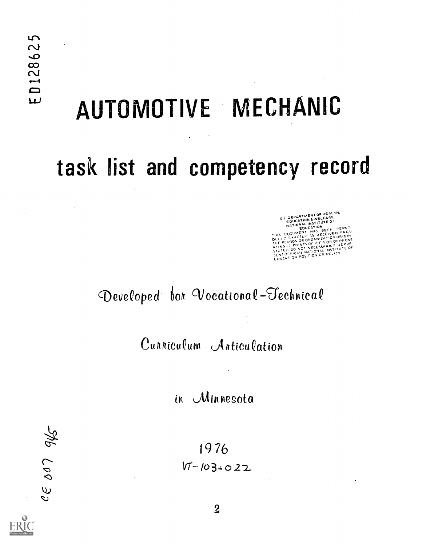# AUTOMOTIVE MECHANIC

# task list and competency record

US DEPARTMENT OF HEALTH.<br>EDUCATION & WELFARE<br>NATIONAL INSTITUTE O.<br>NATIONALITATION EDUCATUM <sub>BEFN</sub> REPR THIS DOCUMENT HAS BEEN PEPP!"<br>This DOCUMENT AS RECEIVED PROM<br>DUCLD EXACTLY AS RECEIVED ORIGIN<br>THE PERSON OR OPOANIZATION ORIGINAL<br>STATED DO NOT NECESSARILY REPRE<br>STATED PO,NTS ON NATIONAL INSTITUTE OF<br>SENT OF HOLAL NATIONA SENT OF FICIAL INTION OR POLICY

# Developed for Vocational-Technical

Cunniculum Anticulation

in Minnesota

19 76  $VT - 103.022$ 

945 007  $\overline{\mathcal{L}}$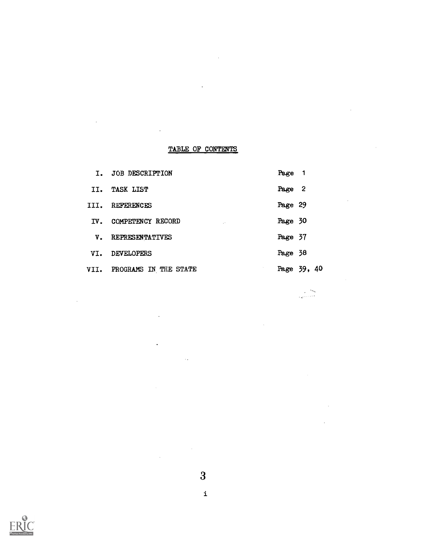# TABLE OF CONTENTS

 $\ddot{\phantom{a}}$ 

 $\ddot{\phantom{a}}$ 

 $\bar{z}$ 

 $\sim$ 

 $\bar{\tau}$ 

|               | I. JOB DESCRIPTION                           | Page 1  |             |
|---------------|----------------------------------------------|---------|-------------|
|               | II. TASK LIST                                | Page 2  |             |
|               | III. REFERENCES                              | Page 29 |             |
|               | IV. COMPETENCY RECORD<br>$\mathcal{L}^{(k)}$ | Page 30 |             |
| $V_{\bullet}$ | REPRESENTATIVES                              | Page 37 |             |
| VI.           | <b>DEVELOPERS</b>                            | Page 38 |             |
|               | VII. PROGRAMS IN THE STATE                   |         | Page 39, 40 |

an<br>Barbara

 $\bar{z}$ 



 $\ddot{\phantom{a}}$ 

 $\sim 10^{-1}$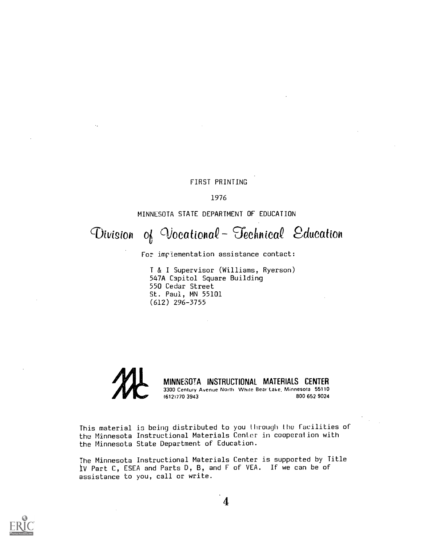# FIRST PRINTING

1976

# MINNESOTA STATE DEPARTMENT OF EDUCATION

# Division of Vocational- Technical Education

For implementation assistance contact:

T & I Supervisor (Williams, Ryerson) 547A Capitol Square Building 550 Cedar Street St. Paul, MN 55101 (612) 296-3755



This material is being distributed to you through the facilities of the Minnesota Instructional Materials Center in cooperation with the Minnesota State Department of Education.

The Minnesota Instructional Materials Center is supported by Title iV Part C, ESEA and Parts D, B, and F of VEA. If we can be of assistance to you, call or write.

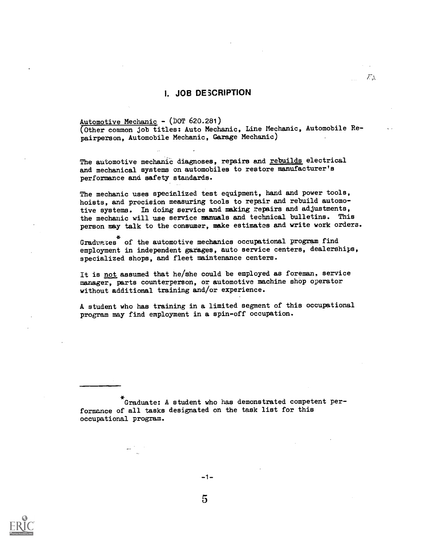# I. JOB DE3CRIPTION

#### Automotive Mechanic - (DOT 620.281)

(Other common job titles: Auto Mechanic, Line Mechanic, Automobile Repairperson, Automobile Mechanic, Garage Mechanic)

 $F_{\Delta}$ 

The automotive mechanic diagnoses, repairs and rebuilds electrical and mechanical systems on automobiles to restore manufacturer's performance and safety standards.

The mechanic uses specialized test equipment, hand and power tools, hoists, and precision measuring tools to repair and rebuild automotive systems. In doing service and making repairs and adjustments, the mechanic will use service manuals and technical bulletins. This person may talk to the consumer, make estimates and write work orders.

Graduates of the automotive mechanics occupational program find employment in independent garages, auto service centers, dealerships, specialized shops, and fleet maintenance centers.

It is not assumed that he/she could be employed as foreman, service manager, parts counterperson, or automotive machine shop operator without additional training and/or experience.

A student who has training in a limited segment of this occupational program may find employment in a spin-off occupation.

Graduate: A student who has demonstrated competent performance of all tasks designated on the task list for this occupational program.



 $-1-$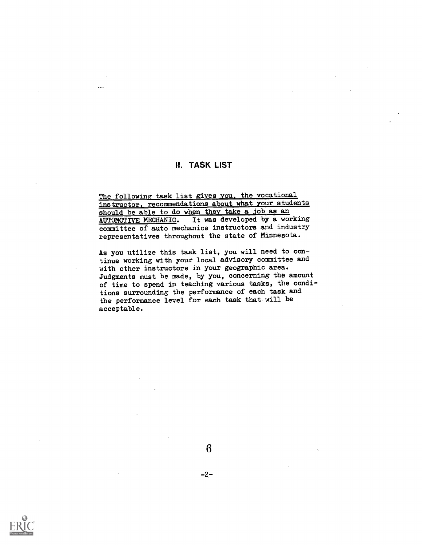# H. TASK LIST

The following task list gives you, the vocational instructor, recommendations about what your students should be able to do when they take a job as an AUTOMOTIVE MECHANIC. It was developed by a working committee of auto mechanics instructors and industry representatives throughout the state of Minnesota.

As you utilize this task list, you will need to continue working with your local advisory committee and with other instructors in your geographic area. Judgments must be made, by you, concerning the amount of time to spend in teaching various tasks, the conditions surrounding the performance of each task and the performance level for each task that will be acceptable.

 $-2-$ 

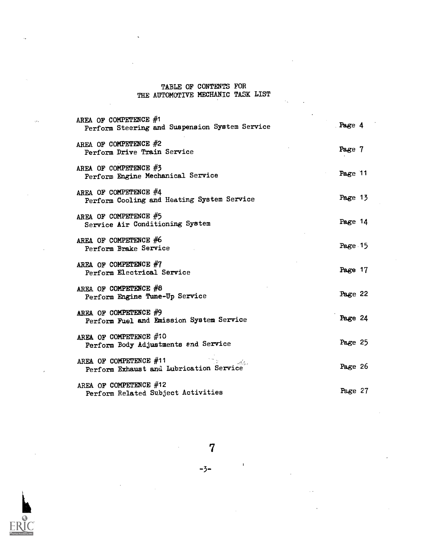# TABLE OF CONTENTS FOR THE AUTOMOTIVE MECHANIC TASK LIST

| AREA OF COMPETENCE #1<br>Perform Steering and Suspension System Service | Page 4  |
|-------------------------------------------------------------------------|---------|
| AREA OF COMPETENCE #2<br>Perform Drive Train Service                    | Page 7  |
| AREA OF COMPETENCE #3<br>Perform Engine Mechanical Service              | Page 11 |
| AREA OF COMPETENCE #4<br>Perform Cooling and Heating System Service     | Page 13 |
| AREA OF COMPETENCE #5<br>Service Air Conditioning System                | Page 14 |
| AREA OF COMPETENCE #6<br>Perform Brake Service                          | Page 15 |
| AREA OF COMPETENCE $#7$<br>Perform Electrical Service                   | Page 17 |
| AREA OF COMPETENCE #8<br>Perform Engine Tune-Up Service                 | Page 22 |
| AREA OF COMPETENCE #9<br>Perform Fuel and Emission System Service       | Page 24 |
| AREA OF COMPETENCE #10<br>Perform Body Adjustments and Service          | Page 25 |
| AREA OF COMPETENCE #11<br>Perform Exhaust and Lubrication Service       | Page 26 |
| AREA OF COMPETENCE #12<br>Perform Related Subject Activities            | Page 27 |



 $\mathbf{I}$ 

-3-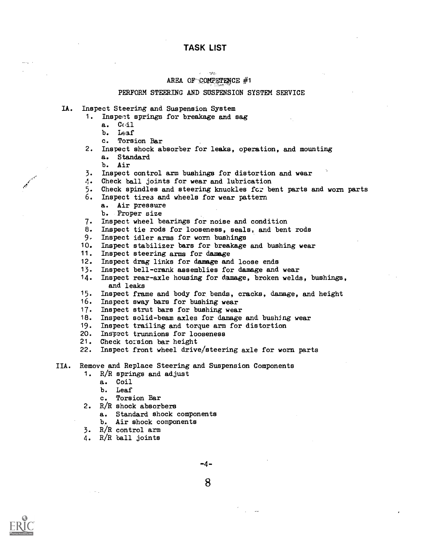#### $\sim 10$   $\mu$ AREA OF COMPETENCE  $#1$

#### PERFORM STEERING AND SUSPENSION SYSTEM SERVICE

- IA. Inspect Steering and Suspension System
	- 1. Inspect springs for breakage and sag
		- a. Coil
		- b. Leaf
		- c. Torsion Bar
	- 2. Inspect shock absorber for leaks, operation, and mounting a. Standard
		- b. Air
	- 3. Inspect control arm bushings for distortion and wear
	- 4. Check ball joints for wear and lubrication
	- 5. Check spindles and steering knuckles for bent parts and worn parts
	- 6. Inspect tirea and wheels for wear pattern
		- a. Air pressure
		- b. Proper size
	- 7. Inspect wheel bearings for noise and condition
	- 8. Inspect tie rods for looseness, seals, and bent rods
	- 9.. Inspect idler arms for worn bushings
	- 10. Inspect stabilizer bars for breakage and bushing wear
	- 11. Inspect steering erns for damage
	- 12. Inspect drag links for damage and loose ends
	- 13. Inspect bell-crank assemblies for damage and wear
	- 14. Inspect rear-axle housing for damage, broken welds, bushings, and leaks
	- 15. Inspect frame and body for, bends, cracks, damage, and height
	- 16. Inspect sway bars for bushing wear
	- 17. Inspect strut bars for bushing wear
	- 18. Inspect solid-beam axles for damage and bushing wear
	- 19. Inspect trailing and torque arm for distortion
	- 20. Ingpect trunnions for looseness
	- 21. Check torsion bar height
	- 22. Inspect front wheel drive/steering axle for worn parts
- IIA. Remove and Replace Steering and Suspension Components
	- 1. R/R springs and adjust
		- a. Coil
			- b. Leaf
			- c. Torsion Bar
	- 2. R/R shock absorbers
		- a. Standard shock components
		- b. Air shock components
	- 3. R/R control arm
	- 4. R/R ball joints



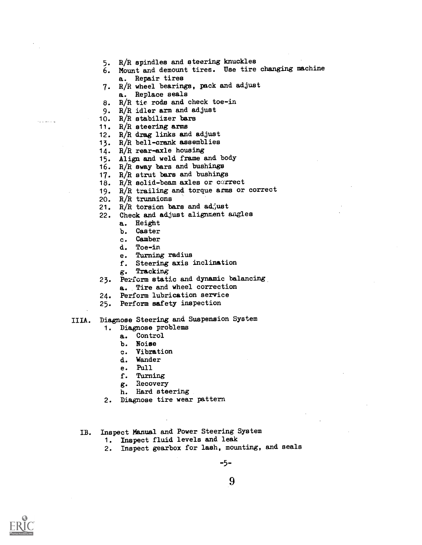- 5. R/R spindles and steering knuckles
- 6. Mount and demount tires. Use tire changing machine a. Repair tires
- 7. R/R wheel bearings, pack and adjust a. Replace seals
- 8. R/R tie rods and check toe-in
- 9. R/R idler arm and adjust
- 10.  $R/R$  stabilizer bars
- 11. R/R steering arms
- 12. R/R drag links and adjust
- 13. R/R bell-crank assemblies
- 14. R/R rear-axle housing
- 15. Align and weld frame and body
- 16. R/R sway bars and bushings
- 17. R/R strut bars and bushings
- 18.  $R/R$  solid-beam axles or correct
- 19. R/R trailing and torque arms or correct
- 20. R/R trunnions
- 21.  $R/R$  torsion bars and ad; ust
- 22. Check and adjust alignment angles
	- a. Height
		- b. Caster
		- c. Camber
		- d. Toe-in
		- e. Turning radius
		- f. Steering axis inclination
		- g. Tracking
- 23. Perform static and dynamic balancing a. Tire and wheel correction
- 24. Perform lubrication service
- 25. Perform safety inspection

# IIIA. Diagnose Steering and Suspension System

- 1. Diagnose problems
	- a. Control
		- b. Noise
	- c. Vibration
	- d. Wander
	- e. PUll
	- f. Turning
	- g. Recovery
	- h. Hard steering
- 2. Diagnose tire wear pattern
- IB. Inspect Manual and Power Steering System
	- 1. Inspect fluid levels and leak
	- 2. Inspect gearbox for lash, mounting, and seals

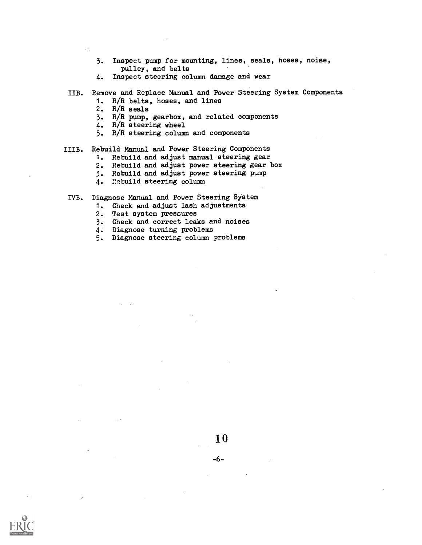- 3. Inspect pump for mounting, lines, seals, hoses, noise, pulley, and belts
- 4. Inspect steering column damage and wear
- IIB. Remove and Replace Manual and Power Steering System Components
	- 1. R/R belts, hoses, and lines
	- 2. R/R seals
	- 3. R/R pump, gearbox, and related components
	- 4. R/R steering wheel
	- 5. R/R steering column and components

#### IIIB. Rebuild Manual and Power Steering Components

- 1. Rebuild and adjust manual steering gear
- 2. Rebuild and adjust power steering gear box
- 3. Rebuild and adjust power steering pump
- 4. Rebuild steering column

#### IVB. Diagnose Manual and Power Steering System

- 1. Check and adjust lash adjustments<br>2. Test system pressures
- Test system pressures
- 3. Check and correct leaks and noises
- 
- 4. Diagnose turning problems<br>5. Diagnose steering column 1 5. Diagnose steering column problems

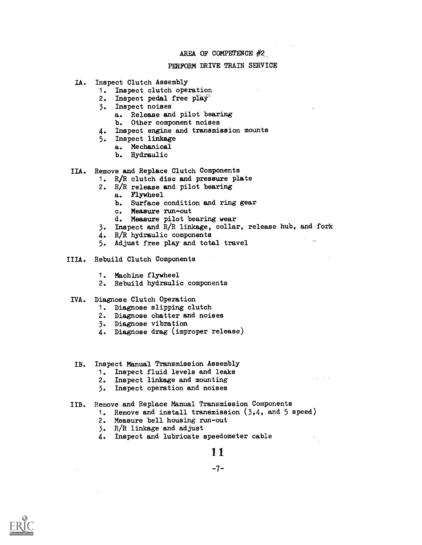#### PERFORM DRIVE TRAIN SERVICE

- IA. Inspect Clutch Assembly
	- 1. Inspect clutch operation
	- 2. Inspect pedal free play<sup>2</sup>
	- 3. Inspect noises
		- a. Release and pilot bearing
		- b. Other component noises
	- 4. Inspect engine and transmission mounts
	- 5. Inspect linkage
		- a. Mechanical
			- b. Hydraulic
- IIA. Remove and Replace Clutch Components
	- 1. R/R clutch disc and pressure plate
		- 2. R/R release and pilot bearing
			- a. Flywheel
				- b. Surface condition and ring gear
				- c. Measure run-out
			- d. Measure pilot bearing wear
		- 3. Inspect and R/R linkage, collar, release hub, and fork
		- 4.  $R/R$  hydraulic components<br>5. Adjust free play and tote
		- Adjust free play and total travel
- IIIA. Rebuild Clutch Components
	- 1. Machine flywheel
	- 2. Rebuild hydraulic components
- IVA. Diagnose Clutch Operation
	- 1. Diagnose slipping clutch
	- 2. Diagnose chatter and noises
	- 3. Diagnose vibration
	- 4. Diagnose drag (improper release)
- IB. Inspect Manual Transmission Assembly
	- 1. Inspect fluid levels and leaks
	- 2. Inspect linkage and mounting
	- 3. Inspect operation and noises

#### IIB. Remove and Replace Manual Transmission Components

- 1. Remove and install transmission (3,4, and 5 speed)
- 2. Measure bell housing run-out
- 3. R/R linkage and adjust
- 4. Inspect and lubricate speedometer cable

1 1

-7-

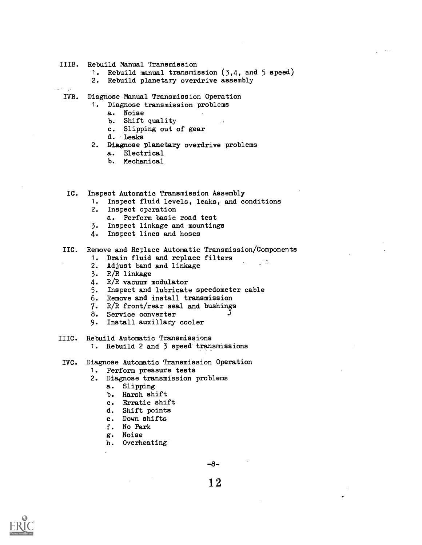#### IIIB. Rebuild Manual Transmission

- 1. Rebuild manual transmission (3,4, and 5 speed)
- 2. Rebuild planetary overdrive assembly
- IVB. Diagnose Manual Transmission Operation
	- 1. Diagnose transmission problems
		- a. Noise
		- b. Shift quality
		- c. Slipping out of gear
		- d. 'Leaks
	- 2. Diagnose planetary overdrive problems
		- a. Electrical
		- b. Mechanical
	- IC. Inspect Automatic Transmission Assembly
		- 1. Inspect fluid levels, leaks, and conditions
		- 2. Inspect operation
			- a. Perform basic road test
		- 3. Inspect linkage and mountings
		- 4. Inspect lines and hoses

# IIC. Remove and Replace Automatic Transmission/Components

- 1. Drain fluid and replace filters
- 2. Adjust band and linkage
- 3. R/R linkage
- 4. R/R vacuum modulator
- 5. Inspect and lubricate speedometer cable
- 6. Remove and install transmission
- 7. R/R front/rear seal and bushings
- 8. Service converter
- 9. Install auxillary cooler

#### IIIC. Rebuild Automatic Transmissions

- 1. Rebuild 2 and 3 speed transmissions
- IVC. Diagnose Automatic Transmission Operation
	- 1. Perform pressure tests
	- 2. Diagnose transmission problems
		- a. Slipping
		- b. Harsh shift
		- c. Erratic shift
		- d. Shift points
		- e. Down shifts
		- f. No Park
		- g. Noise
		- h. Overheating

-8-

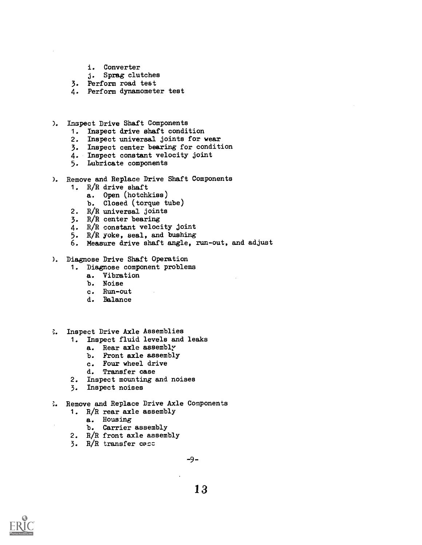- i. Converter
- j. Sprag clutches
- 3. Perform road test
- 4. Perform dynamometer test
- ). inspect Drive Shaft Components
	- 1. Inspect drive shaft condition
	- 2. Inspect universal joints for wear
	- 3. Inspect center bearing for condition
	- 4. Inspect constant velocity joint
	- 5. Lubricate components
- ). Remove and Replace Drive Shaft Components
	- 1. R/R drive shaft
		- a. Open (hotchkiss)
		- b. Closed (torque tube)
	- 2. R/R universal joints
	- 3. R/R center bearing
	- 4. R/R constant velocity joint
	- 5. R/R yoke, seal, and bushing
	- 6. Measure drive shaft angle, run-out, and adjust
- ). Diagnose Drive Shaft Operation
	- 1. Diagnose component problems
		- a. Vibration
		- b. Noise
		- c. Run-out
		- d. Balance
- **I.** Inspect Drive Axle Assemblies
	- 1. Inspect fluid levels and leaks
		- a. Rear axle assembly
		- b. Front axle assembly
		- c. Four wheel drive
		- d. Transfer oase
	- 2. Inspect mounting and noises
	- 3. Inspect noises
- **E.** Remove and Replace Drive Axle Components
	- 1. R/R rear axle assembly
		- a. Housing
		- b. Carrier assembly
	- 2. R/R front axle assembly
	- $3.$  R/R transfer case

-9--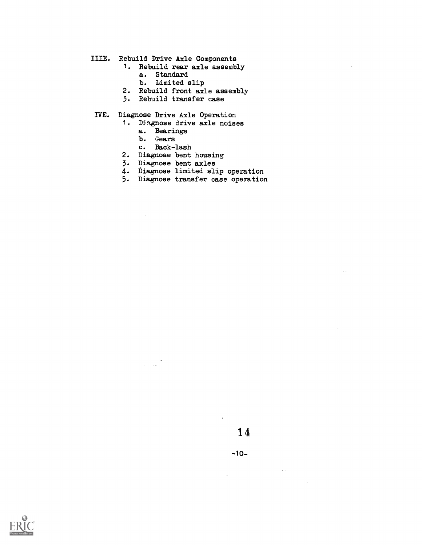- IIIE. Rebuild Drive Axle Components
	- 1. Rebuild rear axle assembly
		- a. Standard
		- b. Limited slip
	- 2. Rebuild front axle assembly
	- 3. Rebuild transfer case
- IVE. Diagnose Drive Axle Operation
	- 1. Diagnose drive axle noises
		- a. Bearings
		- b. Gears
		- c. Back-lash

 $\frac{1}{2}$  ,  $\frac{1}{2}$ 

- 2. Diagnose bent housing
- 3. Diagnose bent axles
- 4. Diagnose limited slip operation
- 5. Diagnose transfer case operation



 $\sim 1000$ 

 $\bar{\mathcal{A}}$ 

 $\Delta \sim 10^4$ 

 $\bar{\mathbf{r}}$ 

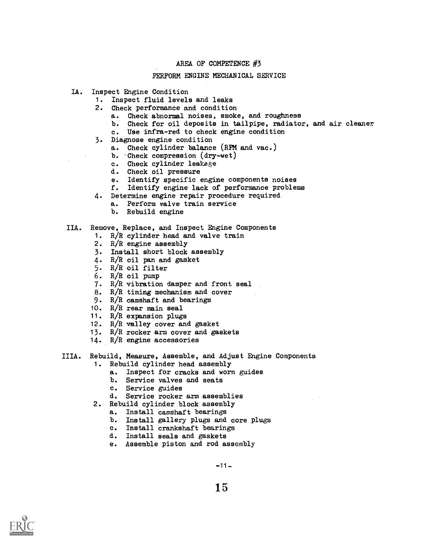## PERFORM ENGINE MECHANICAL SERVICE

- IA. Inspect Engine Condition
	- 1. Inspect fluid levels and leaks
	- 2. Check performance and condition
		- a. Check abnormal noises, smoke, and roughness
		- b. Check for oil deposits in tailpipe, radiator, and air cleaner
		- c. Use infra-red to check engine condition
	- 3. Diagnose engine condition
		- a. Check cylinder balance (RPM and vac.)
		- b. -Check compression (dry-wet)
		- c. Check cylinder leakage
		- d. Check oil pressure
		- e. Identify specific engine components noises
		- f. Identify engine lack of performance problems
	- 4. Determine engine repair procedure required
		- a. Perform valve train service
		- b. Rebuild engine

#### IIA. Remove, Replace, and Inspect Engine Components

- 1. R/R cylinder head and valve train
- 2. R/R engine assembly
- 3. Install short block assembly
- 4. R/R oil pan and gasket
- 5. R/R oil filter
- 6. R/R oil pump
- 7. R/R vibration damper and front seal
- 8. R/R timing mechanism and cover
- 9. R/R camshaft and bearings
- 10. R/R rear main seal
- 11. R/R expansion plugs
- 12. R/R valley cover and gasket
- 13. R/R rocker arm cover and gaskets
- 14. R/R engine accessories
- IIIA. Rebuild, Measure, Assemble, and Adjust Engine Components 1. Rebuild cylinder head assembly
	- a. Inspect for cracks and worn guides
	- b. Service valves and seats
	- c. Service guides
	- d. Service rocker arm assemblies
	- 2. Rebuild cylinder block assembly
		- a. Install camshaft bearings
		- b. Install gallery plugs and core plugs
		- c. Install crankshaft bearings
		- d. Install seals and gaskets
		- e. Assemble piston and rod assembly

 $-11-$ 

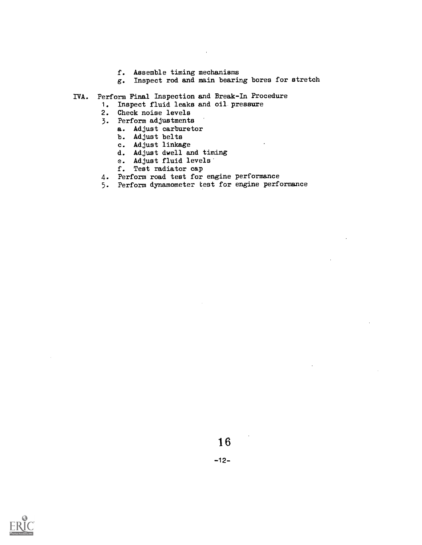- f. Assemble timing mechanisms
- g. Inspect rod and main bearing bores for stretch
- IVA. Perform Final Inspection and Break-In Procedure
	- 1. Inspect fluid leaks and oil pressure
	- 2. Check noise levels
	- 3. Perform adjustments
		- a. Adjust carburetor
		- b. Adjust belts
		- c. Adjust linkage
		- d. Adjust dwell and timing
		- e. Adjust fluid levels
		- f. Test radiator cap
	- 4. Perform road test for engine performance
	- 5. Perform dynamometer test for engine performance



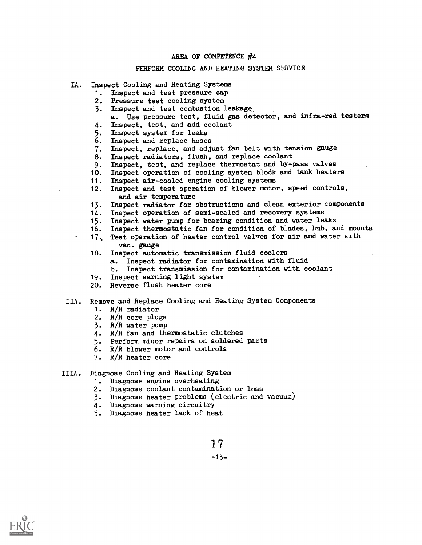#### PERFORM COOLING AND HEATING SYSTEM SERVICE

- IA. Inspect Cooling and Heating Systems
	- 1. Inspect and test pressure cap
	- 2. Pressure test cooling system
	- 3. Inspect and test, combustion leakage.
	- a. Use pressure test, fluid gas detector, and infra-red testern 4. Inspect, test, and add coolant
	-
	- 5. Inspect system for leaks<br>6. Inspect and replace hose Inspect and replace hoses
	- 7. Inspect, replace, and adjust fan belt with tension gauge
	- 8. Inspect radiators, flush, and replace coolant
	- 9. Inspect, test, and replace thermostat and by-pass valves
	- 10. Inspect operation of cooling system block and tank heaters
	- 11. Inspect air-cooled engine cooling systems
	- 12. Inspect and test operation of blower motor, speed controls, and air temperature
	- 13. Inspect radiator for obstructions and clean exterior oomponents
	- 14. Inspect operation of semi-sealed and recovery systems
	- 15. Inspect water pump for bearing condition and water leaks
	- 16. Inspect thermostatic fan for condition of blades, hub, and mounts
	- 17. Test operation of heater control valves for air and water with vac. gauge
	- 18. Inspect automatic transmission fluid coolers
		- a. Inspect radiator for contamination with fluid
		- b. Inspect transmission for contamination with coolant
	- 19. Inspect warning light system
	- 20. Reverse flush heater core
- IIA. Remove and Replace Cooling and Heating System Components
	- 1. R/R radiator
	- 2. R/R core plugs
	- 3. R/R water pump
	- 4. R/R fan and thermostatic clutches
	- 5. Perform minor repairs on soldered parts
	- 6. R/R blower motor and controls
	- 7. R/R heater core
- IIIA. Diagnose Cooling and Heating System
	- 1. Diagnose engine overheating
	- 2. Diagnose coolant contamination or loss
	- 3. Diagnose heater problems (electric and vacuum)
	- 4. Diagnose warning circuitry
	- 5. Diagnose heater lack of heat

1 7

-13-

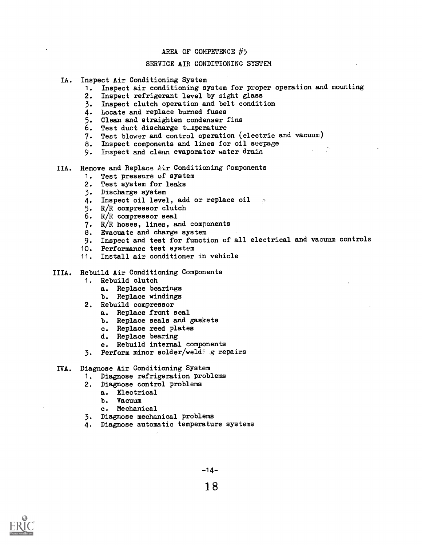#### SERVICE AIR CONDITIONING SYSTEM

- IA. Inspect Air Conditioning System
	- 1. Inspect air conditioning system for proper operation and mounting
	- 2. Inspect refrigerant level by sight glass
	- 3. Inspect clutch operation and belt condition
	- 4. Locate and replace burned fuses
	- 5. Clean and straighten condenser fins
	- 6. Test duct discharge tunperature
	- 7. Test blower and control operation (electric and vacuum)
	- 8. Inspect components and lines for oil seepage
	- 9. Inspect and clean evaporator water drain
- IIA. Remove and Replace Air Conditioning Components
	- 1. Test pressure of system
	- 2. Test system for leaks
	- 3. Discharge system
	- 4. Inspect oil level, add or replace oil
	- 5. R/R compressor clutch
	- 6. R/R compressor seal
	- 7. R/R hoses, lines, and components
	- 8. Evacuate and charge system
	- 9. Inspect and test for function of all electrical and vacuum controls
	- 10. Performance test system
	- 11. Install air conditioner in vehicle

IIIA. Rebuild Air Conditioning Components

- 1. Rebuild clutch
	- a. Replace bearings
	- b. Replace windings
- 2. Rebuild compressor
	- a. Replace front seal
	- b. Replace seals and gaskets
	- c. Replace reed plates
	- d. Replace bearing
	- e. Rebuild internal components
- 3. Perform minor solder/weldj z repairs

#### IVA. Diagnose Air Conditioning System

- 1. Diagnose refrigeration problems
- 2. Diagnose control problems
	- a. Electrical
		- b. Vacuum
	- c. Mechanical
- 3. Diagnose mechanical problems
- 4. Diagnose automatic temperature systems



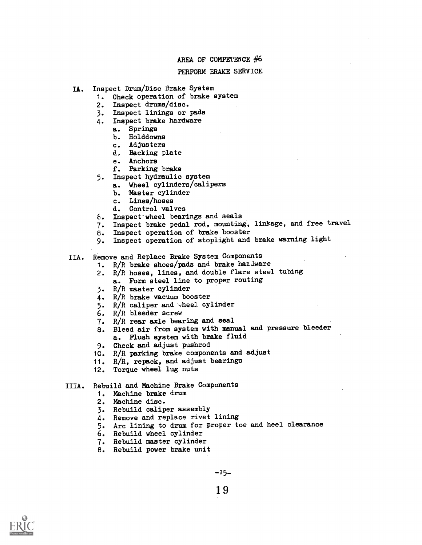#### PERFORM BRAKE SERVICE

- IA. Inspect Drum/Disc Brake System
	- 1. Check operation of brake system
	- 2. Inspect drums/disc.
	- 3. Inspect linings or pads
	- 4. Inspect brake hardware
		- a. Springs
		- b. Holddowns
		- c. Adjusters
		- d. Backing plate
		- e. Anchors
		- f. Parking brake
	- 5. Inspect hydraulic system
		- a. Wheel cylinders/calipexs
		- b. Master cylinder
		- c. Lines/hoses
		- d. Control valves
	- 6. Inspect wheel bearings and seals
	- 7. Inspect brake pedal rod, mounting, linkage, and free travel
	- 8. Inspect operation of brake booster
	- 9. Inspect operation of stoplight and brake warning light
- IIA. Remove and Replace Brake System Components
	- 1.  $R/R$  brake shoes/pads and brake hardware
	- 2. R/R hoses, lines, and double flare steel tubing a. Form steel line to proper routing
	- 3. R/R master cylinder
	- 4. R/R brake vacuum booster
	- 5.  $R/R$  caliper and wheel cylinder
	- 6. R/R bleeder screw
	- 7. R/R rear axle bearing and seal
	- 8. Bleed air from system with manual and pressure bleeder a. Flush system with brake fluid
	- 9. Check and adjust pushrod
	- 10. R/R parking brake components and adjust
	- 11. R/R, repack, and adjust bearings
	- 12. Torque wheel lug nuts
- IIIA. Rebuild and Machine Brake Components
	- 1. Machine brake drum
	- 2. Machine disc.
	- 3. Rebuild caliper assembly
	- 4. Remove and replace rivet lining
	- 5. Arc lining to drum for proper toe and heel clearance
	- 6. Rebuild wheel cylinder
	- 7. Rebuild master cylinder
	- 8. Rebuild power brake unit

 $-15-$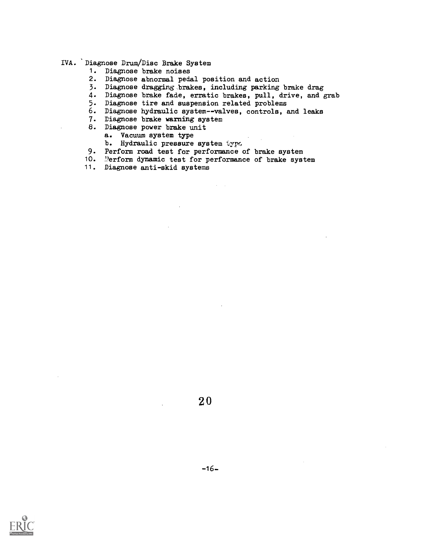#### IVA. 'Diagnose Drum/Disc Brake System

- 1. Diagnose brake noises
- 2. Diagnose abnormal pedal position and action
- 3. Diagnose dragging brakes, including parking brake drag
- 4. Diagnose brake fade, erratic brakes, pull, drive, and grab
- 5. Diagnose tire and suspension related problems
- 6. Diagnose hydraulic system--valves, controls, and leaks
- 7. Diagnose brake warning system
- 8. Diagnose power brake unit
	- a. Vacuum system type
	- b. Hydraulic pressure system type
- 9. Perform road test for performance of brake system
- 10. "erform dynamic test for performance of brake system
- 11. Diagnose anti-skid systems



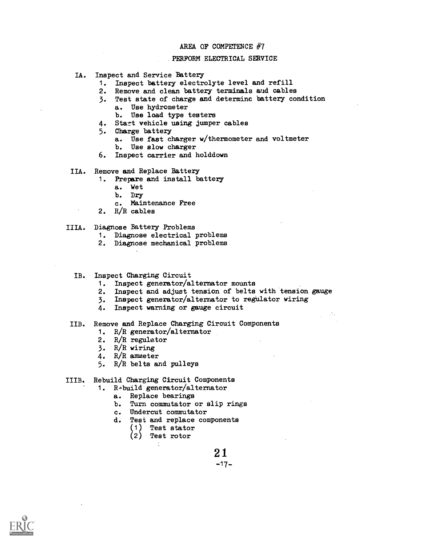#### .PERFORM ELECTRICAL SERVICE

- IA. Inspect and Service Battery
	- 1. Inspect battery electrolyte level and refill 2. Remove and clean battery terminals and cables
	- Remove and clean battery terminals and cables
	- 3. Test state of charge and determine battery condition a. Use hydrometer
		- b. Use load type testers
	- 4. Start vehicle using jumper cables
	- 5. Charge battery
		- a. Use fast charger w/thermometer and voltmeter
		- b. Use slow charger
	- 6. Inspect carrier and holddown

IIA. Remove and Replace Battery

- 1. Prepare and install battery
	- a. Wet
	- b. Dry
	- c. Maintenance Free
- 2. R/R cables
- IIIA. Diagnose Battery Problems
	- 1. Diagnose electrical problems
	- 2. Diagnose mechanical problems
	- IB. Inspect Charging Circuit
		- 1. Inspect generator/alternator mounts
		- 2. Inspect and adjust tension of belts with tension gauge
		- 3. Inspect generator/alternator to regulator wiring
		- 4. Inspect warning or gauge circuit
- IIB. Remove and Replace Charging Circuit Components
	- 1. R/R generator/alternator
	- 2. R/R regulator
	- 3. R/R wiring
	- 4. R/R ammeter
	- 5. R/R belts and pulleys
- IIIB. Rebuild Charging Circuit Components
	- 1. Rebuild generator/alternator
		- a. Replace bearings
		- b. Turn commutator or slip rings
		- c. Undercut commutator
		- d. Test and replace components
			- (1) Test stator
				- Test rotor

21  $-17-$ 

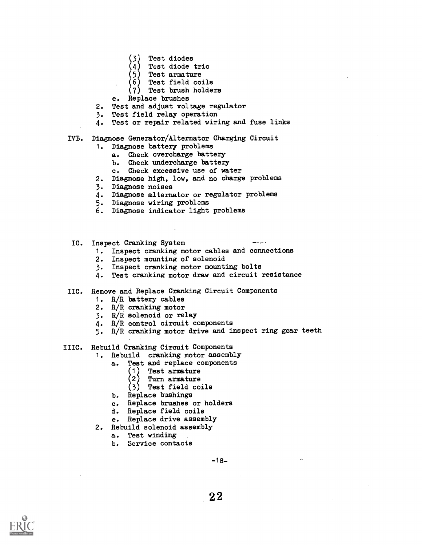- Test diodes
- Test diode trio
- Test armature
- 
- $(6)$  Test field coils<br> $(7)$  Test brush holde: Test brush holders
- e. Replace brushes
- 2. Test and adjust voltage regulator
- 3. Test field relay operation
- 4. Test or repair related wiring and fuse links

## IVB. Diagnose Generator/Alternator Charging Circuit

- 1. Diagnose battery problems
	- a. Check overcharge battery
	- b. Check undercharge battery
	- c. Check excessive use of water
- 2. Diagnose high, low, and no charge problems
- 3. Diagnose noises
- 4. Diagnose alternator or regulator problems
- 5. Diagnose wiring problems
- 6. Diagnose indicator light problems
- IC. Inspect Cranking System
	- 1. Inspect cranking motor cables and connections
	- 2. Inspect mounting of solenoid
	- 3. Inspect cranking motor mounting bolts
	- 4. Test cranking motor draw and circuit resistance
- IIC. Remove and Replace Cranking Circuit Components
	- 1. R/R battery cables
	- 2. R/R cranking motor
	- 3. R/R solenoid or relay
	- 4. R/R control circuit components
	- 5. R/R cranking motor drive and inspect ring gear teeth
- IIIC. Rebuild Cranking Circuit Components
	- 1. Rebuild cranking motor assembly
		- a. Test and replace components
			- (1) Test armature
			- (2) Turn armature
			- (3) Test field coils
			-
		- b. Replace bushings<br>c. Replace brushes Replace brushes or holders
		- d. Replace field coils
		- e. Replace drive assembly
	- 2. Rebuild solenoid assembly
		- a. Test winding
		- b. Service contacts

-18-

 $\ddot{\phantom{1}}$ 

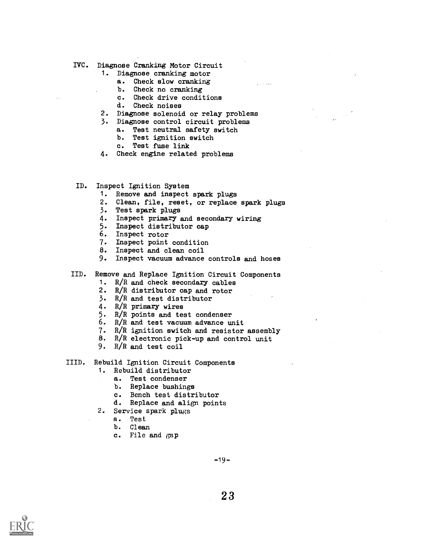- IVC. Diagnose Cranking Motor Circuit
	- 1. Diagnose cranking motor
		- a. Check slow cranking
		- b. Check no cranking<br>c. Check drive condit
		- c. Check drive conditions<br>d. Check noises
		- Check noises
	- 2. Diagnose solenoid or relay problems
	- 3. Diagnose control circuit problems
		- a. Test neutral safety switch
		- b. Test ignition switch<br>c. Test fuse link
		- Test fuse link
	- 4. Check engine related problems
- ID. Inspect Ignition System
	- 1. Remove and inspect spark plugs
	- 2. Clean, file, reset, or replace spark plugs
	- 3. Test spark plugs
	- 4. Inspect primary and secondary wiring
	- 5. Inspect distributor eap
	- 6. Inspect rotor
	- 7. Inspect point condition
	- 8. Inspect and clean coil
	- 9. Inspect vacuum advance controls and hoses
- IID. Remove and Replace Ignition Circuit Components
	- 1.  $R/R$  and check secondary cables
	- 2. R/R distributor cap and rotor
	- 3. R/R and test distributor
	- 4. R/R primary wires
	- 5. R/R points and test condenser
	- 6. R/R and test vacuum advance unit
	- 7. R/R ignition switch and resistor assembly
	- 8. R/R electronic pick-up and control unit
	- 9. R/R and test coil

IIID. Rebuild Ignition Circuit Components

- 1. Rebuild distributor
	- a. Test condenser
		- b. Replace bushings
		- c. Bench test distributor
		- d. Replace and align points
- 2. Service spark plugs
	- a. Test
	- b. Clean
	- c. File and gap

 $-19-$ 

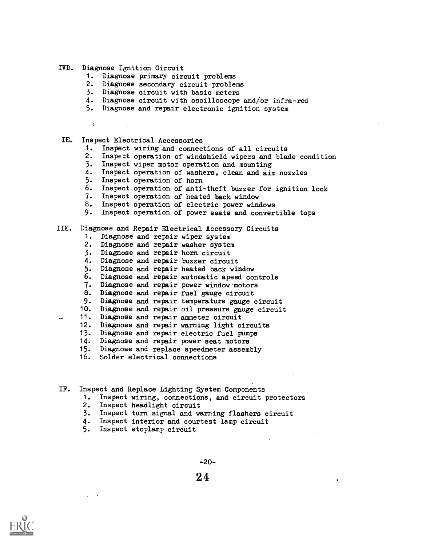#### IVD. Diagnose Ignition Circuit

- 1. Diagnose primary circuit problems
- 2. Diagnose secondary circuit problems
- 3. Diagnose circuit with basic meters
- 4. Diagnose circuit with oscilloscope and/or infra-red
- 5. Diagnose and repair electronic ignition system
- $\Lambda_2$

#### IE. Inspect Electrical Accessories

- 1. Inspect wiring and connections of all circuits
- 2. Inspect operation of windshield wipers and blade condition
- 3. Inspect wiper motor operation and mounting
- 4- Inspect operation of washers, clean and dim nozzles
- 5. Inspect operation of horn
- 6. Inspect operation of anti-theft buzzer for ignition lock
- 7- Inspect operation of heated back window
- 8. Inspect operation of electric power windows
- 9- Inspec;t operation of power seats and convertible tops

#### IIE. Diagnose and Repair Electrical Accessory Circuits

- 1. Diagnose and repair wiper system
- 2. Diagnose and repair washer system
- 3- Diagnose and repair horn circuit
- 4. Diagnose and repair buzzer circuit
- 5- Diagnose and repair heated back window
- 6. Diagnose and repair automatic speed controls
- 7.Diagnose and repair power window-motors
- 8. Diagnose and repair fuel gauge circuit
- 9- Diagnose and repair temperature gauge circuit
- 10. Diagnose and repair oil pressure gauge circuit
- 11. Diagnose and repair anmeter circuit
- 12. Diagnose and repair warning light circuits
- 13. Diagnose and repair electric fuel pumps
- 14. Diagnose and repair power seat motors
- 15. Diagnose and replace speedmeter assembly
- 16. Solder electrical connections
- IF. Inspect and Replace Lighting System Components
	- 1. Inspect wiring, connections, and circuit protectors
	- 2. Inspect headlight circuit
	- 3. Inspect turn signal and warning flashers circuit
	- 4. Inspect interior and courtest lamp circuit
	- 5. Inspect stoplamp circuit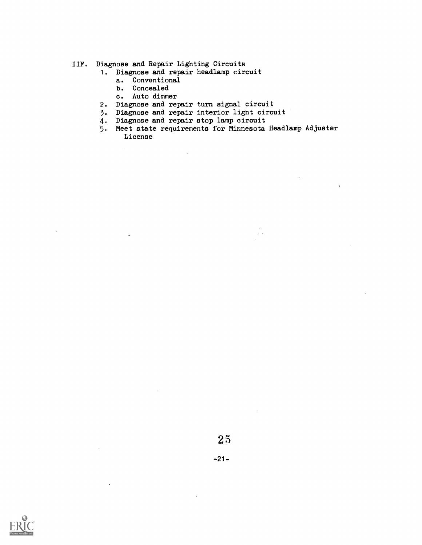## IIF. Diagnose and Repair Lighting Circuits

- 1. Diagnose and repair headlamp circuit
	- a. Conventional
	- b. Concealed

 $\bar{\mathcal{A}}$ 

 $\ddot{\phantom{a}}$ 

- c. Auto dimmer
- 2. Diagnose and repair turn signal circuit

 $\bar{\mathcal{A}}$ 

- 3. Diagnose and repair interior light circuit
- 4. Diagnose and repair stop lamp circuit
- 5. Meet state requirements for Minnesota Headlamp Adjuster License

 $\frac{1}{\sqrt{2}}$ 



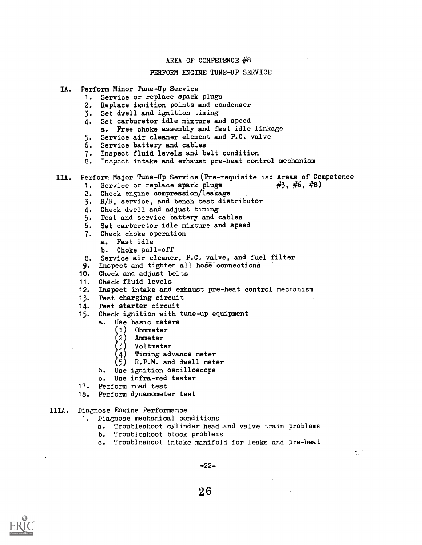#### PERFORM ENGINE TUNE-UP SERVICE

- IA. Perform Minor Tune-Up Service
	- 1. Service or replace spark plugs
	- 2. Replace ignition points and condenser
	- 3. Set dwell and ignition timing
	- 4. Set carburetor idle mixture and speed a. Free choke assembly and fast idle linkage
	- 5. Service air cleaner element and P.C. valve
	- 6. Service battery and cables
	- 7. Inspect fluid levels and belt condition
	- 8. Inspect intake and exhaust pre-heat control mechanism

# IIA. Perform Major Tune-Up Service (Pre-requisite is: Areas of Competence<br>1. Service or replace spark plugs #3, #6, #8)

- 1. Service or replace spark plugs
- 2. Check engine compression/leakage
- 3. R/R, service, and bench test distributor
- 4. Check dwell and adjust timing
- 5. Test and service battery and cables
- 6. Set carburetor idle mixture and speed
- 7. Check choke operation
	- a. Fast idle
	- b. Choke pull-off
- 8. Service air cleaner, P.C. valve, and fuel filter
- 9. Inspect and tighten all hose connections
- 10. Check and adjust belts
- 11. Check fluid levels
- 12. Inspect intake and exhaust pre-heat control mechanism
- 13. Test charging circuit
- 14. Test starter circuit
- 15. Check ignition with tune-up equipment
	- a. Use basic meters<br>(1) Ohmmeter
		- Ohmmeter
		- (2 Ammeter
		- (3 Voltmeter
		- Timing advance meter (4)
		- R.P.M. and dwell meter
		- b. Use ignition oscilloscope
		- c. Use infra-red tester
- 17. Perform road test
- 18. Perform dynamometer test
- IIIA. Diagnose Engine Performance
	- 1. Diagnose mechanical conditions
		- a. Troubleshoot cylinder head and valve train problems
		- b. Troubleshoot block problems
		- c. Troubleshoot intake manifold for leaks and pre-heat

-22-

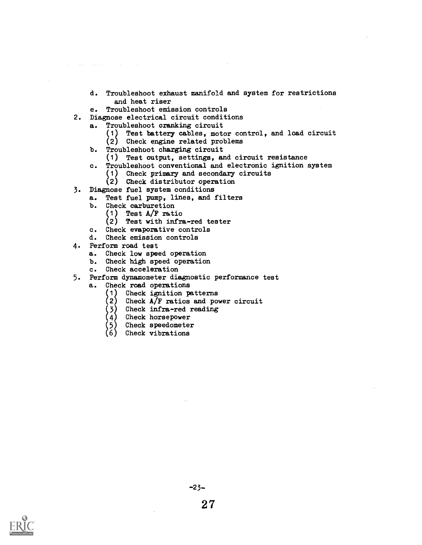- d. Troubleshoot exhaust manifold and system for restrictions and heat riser
- e. Troubleshoot emission controls
- 2. Diagnose electrical circuit conditions
	- a. Troubleshoot cranking circuit
		- (1 Test battery cables, motor control, and load circuit
		- $(2)$  Check engine related problems
	- b. Troubleshoot charging circuit
		- (1) Test output, settings, and circuit resistance
	- c. Troubleshoot conventional and electronic ignition system
		- (1) Check primary and secondary circuits
		- (2) Check distributor operation
- 3. Diagnose fuel system conditions
	- a. Test fuel pump, lines, and filters
	- b. Check carburetion
		- (1) Test A/F ratio
		- (2) Test with infra-red tester
	- c. Check evaporative controls
	- d. Check emission controls
- 4. Perform road test

state of the control

- a. Check low speed operation
- b. Check high speed operation
- c. Check acceleration
- 5. Perform dynamometer diagnostic performance test
	- a. Check road operations
		- Check ignition patterns
		- 2) Check A/F ratios and power circuit
		- $(3)$  Check infra-red reading
		- (4) Check horsepower
		- Check speedometer
		- Check vibrations

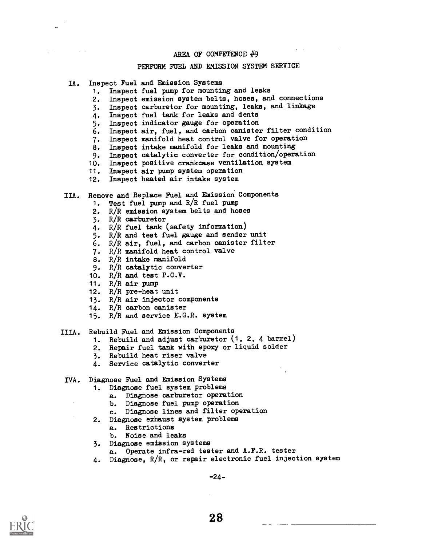#### PERFORM FUEL AND EMISSION SYSTEM SERVICE

- IA. Inspect Fuel and Emission Systems
	- 1. Inspect fuel pump for mounting and leaks
	- 2. Inspect emission system belts, hoses, and connections
	- 3. Inspect carburetor for mounting, leaks, and linkage
	- 4. Inspect fuel tank for leaks and dents
	- 5. Inspect indicator gauge for operation
	- 6. Inspect air, fuel, and carbon canister filter condition
	- 7. Inspect manifold heat control valve for operation
	- 8. Inspect intake manifold for leaks and mounting
	- 9. Inspect catalytic converter for condition/operation
	- 10. Inspect positive crankcase ventilation system
	- 11. Inspect air pump system operation
	- 12. Inspect heated air intake system
- IIA. Remove and Replace Fuel and Emission Components
	- 1. Test fuel pump and R/R fuel pump
	- 2. R/R emission system belts and hoses
	- 3. R/R carburetor
	- 4. R/R fuel tank (safety information)
	- 5. R/R and test fuel gauge and sender unit
	- 6. R/R air, fuel, and carbon canister filter
	- 7. R/R manifold heat control valve
	- 8. R/R intake manifold
	- 9. R/R catalytic converter
	- 10. R/R and test P.C.V.
	- 11. R/R air pump
	- 12. R/R pre-heat unit
	- 15. R/R air injector components
	- 14. R/R carbon canister
	- 15. R/R and service E.G.R. system
- IIIA. Rebuild Fuel and Emission Components
	- 1. Rebuild and adjust carburetor (1, 2, 4 barrel)
	- 2. Repair fuel tank with epoxy or liquid solder
	- 3. Rebuild heat riser valve
	- 4. Service catalytic converter
- IVA. Diagnose Fuel and Emission Systems
	- 1. Diagnose fuel system problems
		- a. Diagnose carburetor operation
		- b. Diagnose fuel pump operation
		- c. Diagnose lines and filter operation
	- 2. Diagnose exhaust system problems
		- a. Restrictions
		- b. Noise and leaks
	- 3. Diagnose emission systems
	- a. Operate infra-red tester and A.F.R. tester
	- 4. Diagnose, R/R, or repair electronic fuel injection system

 $-24-$ 

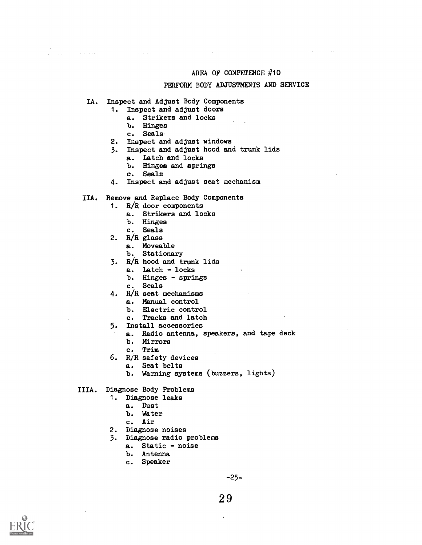and the contract of the contract of

#### PERFORM BODY ADJUSTMENTS AND SERVICE

IA. Inspect and Adjust Body Components

 $\sim$  12 and 14  $\sim$  14 and 14 and 15  $\mu$ 

- 1. Inspect and adjust doors
	- a. Strikers and locks
	- b. Hinges
	- c. Seals

i<br>India di Santana

- 2. Inspect and adjust windows
- 3. Inspect and adjust hood and trunk lids
	- a. Latch and locks
	- b. Hinges and springs
	- c. Seals
- 4. Inspect and adjust seat mechanism
- IIA. Remove and Replace Body Components
	- 1. R/R door components
		- a. Strikers and locks
			- b. Hinges
		- c. Seals
	- 2. R/R glass
		- a. Moveable
		- b. Stationary
	- 3. R/R hood and trunk lids
		- a. Latch locks
		- b. Hinges springs
		- c. Seals
	- 4. R/R seat mechanisms
		- a. Manual control
		- b. Electric control
		- c. Tracks and latch
	- 5. Install accessories
		- a. Radio antenna, speakers, and tape deck
		- b. Mirrors
		- c. Trim
	- 6. R/R safety devices
		- a. Seat belts
		- b. Warning systems (buzzers, lights)
- IIIA. Diagnose Body Problems
	- 1. Diagnose leaks
		- a. Dust
			- b. Water
			- c. Air
	- 2. Diagnose noises
	- 3. Diagnose radio problems
		- a. Static noise
		- b. Antenna
		- c. Speaker

-25--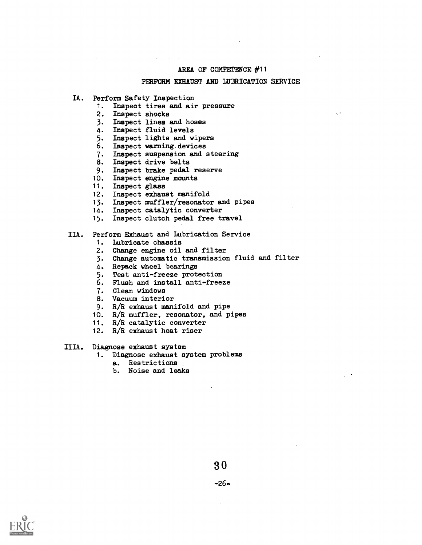#### PERFORM EXHAUST AND LUMRICATION SERVICE

IA. Perform Safety Inspection

 $\omega = \omega = \omega$  .

- 1. Inspect tires and air pressure
- 2. Inspect shocks
- 3. Inspect lines and hoses
- 4. Inspect fluid levels
- 5. Inspect lights and wipers
- 6. Inspect warning.devices
- 7. Inspect suspension and steering
- 8. Inspect drive belts
- 9. Inspect brake pedal reserve<br>10. Inspect engine mounts
- Inspect engine mounts
- 11. Inspect glass
- 12. Inspect exhaust manifold
- 13. Inspect muffler/resonator and pipes<br>14. Inspect catalytic converter
- 
- 14. Inspect catalytic converter<br>15. Inspect clutch pedal free ti 15. Inspect clutch pedal free travel

#### IIA. Perform EXhaust and Lubrieation Service

- 1. Lubricate chassis
- 2. Change engine oil and filter
- 3. Change automatic transmission fluid and filter
- 4. Repack wheel bearings
- 5. Test anti-freeze protection
- 6. Flush and install anti-freeze
- 7. Clean windows
- 8. Vacuum interior
- 9. R/R exhaust manifold and pipe
- 10. R/R muffler, resonator, and pipes
- 11. R/R catalytic converter
- 12. R/R exhaust heat riser

#### IIIA. Diagnose exhaust system

- 1. Diagnose exhaust system problems
	- a. Restrictions
	- b. Noise and leaks

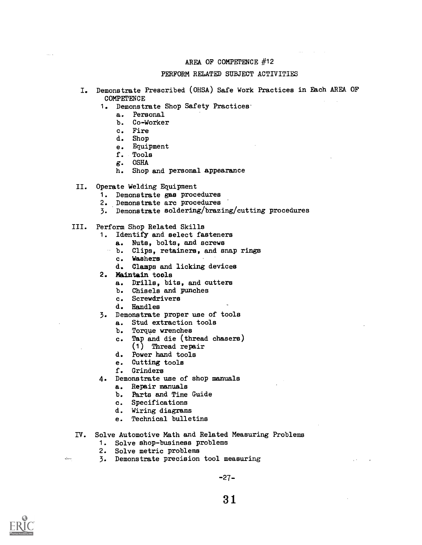#### PERFORM RELATED SUBJECT ACTIVITIES

- I. Demonstrate Prescribed (OHSA) Safe Work Practices in Each AREA OF COMPETENCE
	- 1. Demonstrate Shop Safety Practices
		- a. Personal
		- b. Co-Worker
		- c. Fire
		- d. Shop
		- e. Equipment
		- f. Tools
		- g. OSHA
		- h. Shop and personal appaarance
- II. Operate Welding Equipment
	- 1. Demonstrate gas procedures
	- 2. Demonstrate arc procedures
	- 3. Demonstrate soldering/brazing/cutting procedures
- III. Perform Shop Related Skills
	- 1. Identify and select fasteners
		- a. Nuts, bolts, and screws
		- b. Clips, retainers, and snap rings
			- c. Washers
			- d. Clamps and licking devices
	- 2. Maintain tools
		- a. Drills, bits, and cutters
		- b. Chisels and punches
		- c. Screwdrivers
		- d. Handles
	- 3. Demonstrate proper use of tools
		- a. Stud extraction tools
		- b. Torque wrenches
		- c. Tap and die (thread chasers)
		- (1) Thread repair
		- d. Power hand tools
		- e. Gutting tools
		- f. Grinders
	- 4. Demonstrate use of shop manuals
		- a. Repair manuals
		- b. Parts and Time Guide<br>c. Specifications
		- Specifications
		- d. Wiring diagrams
		- e. Technical bulletins
- IV. Solve Automotive Math and Related Measuring Problems
	- 1. Solve shop-business problems
	- 2. Solve metric problems
	- 3. Demonstrate precision tool measuring

-27-



il.<br>Linna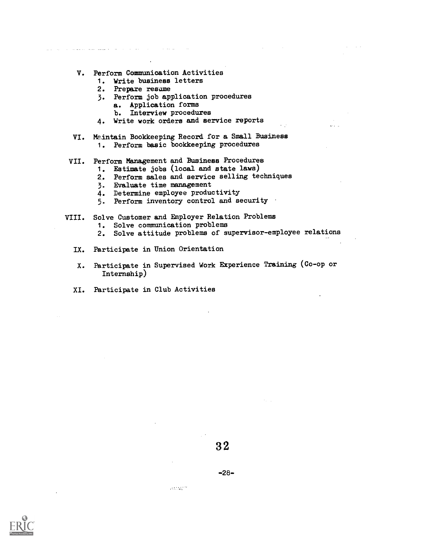- V. Perform Communication Activities
	- 1. Write business letters
	- 2. Prepare resame

والمنافس والمنافي والمستفيد والمستعادة

- 3. Perform job application procedures
	- a. Application forms
	- b. Interview procedures
- 4. Write work orders and service reports
- VI. Maintain Bookkeeping Record for a Small Business 1. Perform basic bookkeeping procedures
- VII. Perform Management and Business Procedures
	- 1. Estimate jobs (local and state laws)
	- 2. Perform sales and service selling techniques
	- 3. EValuate time management
	- 4. Determine employee productivity
	- 5. Perform inventory control and security
- VIII. Solve Customer and Employer Relation Problems 1. Solve communication problems
	- 2. Solve attitude problems of supervisor-employee relations

 $\mathbf{v}$ 

- IX. Participate in Union Orientation
- X. Participate in Supervised Work Experience Training (Co-op or Internship)
- Xl. Participate in Club Activities

assistant.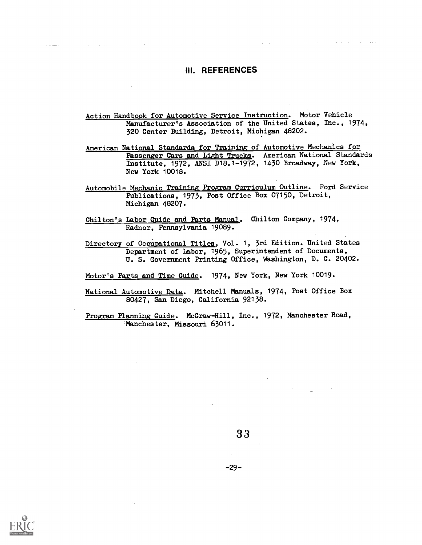## III. REFERENCES

 $\mathcal{A}^{\mathcal{A}}$  and  $\mathcal{A}^{\mathcal{A}}$  are the set of the  $\mathcal{A}^{\mathcal{A}}$ 

العاملة فالمتعاقب فالمنافي المتعطف المستقل والمنافي المنافي والمنافي

Action Handbook for Automotive Service Instruction. Motor Vehicle Manufacturer's Association of the United States, Inc., 1974, 320 Center Building, Detroit, Michigan 48202.

American National Standards for Training of Automotive Mechanics for Passenger Cars and Light Trucks. American National Standards Institute, 1972, ANSI D18.1-1972, 1430 Broadway, New York, New York 10018.

- Automobile Mechanic Training Program Curriculum Outline. Ford Service Publications, 1973, Post Office Box 07150, Detroit, Michigan 48207.
- Chilton's Labor Guide and Parts Manual. Chilton Company, 1974, Radnor, Pennsylvania 19089.

Directory of Occupational Titles, Vol. 1, 3rd Edition. United States Department of Labor, 1965, Superintendent of Documents, U. S. Government Printing Office, Washington, D. C. 20402.

Motor's Parts and Time Guide. 1974, New York, New York 10019.

National Automotive Data. Mitchell Manuals, 1974, Post Office Box 80427, San Diego, California 92138.

Program Planning Guide. McGraw-Hill, Inc., 1972, Manchester Road,Manchester, Missouri 63011.



 $-29-$ 

 $\sim 10^7$ 

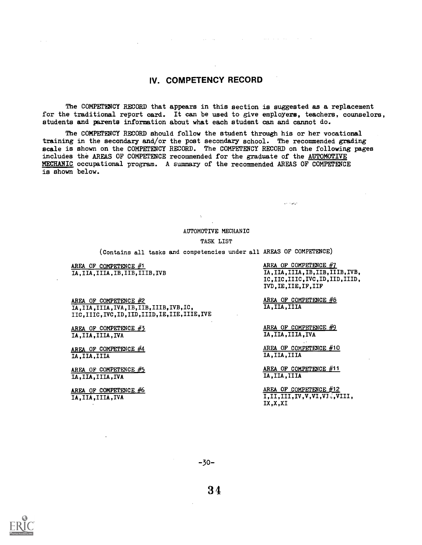# IV. COMPETENCY RECORD

The COMPETENCY RECORD that appears in this section is suggested as a replacement for the traditional report card. It can be used to give employers, teachers, counselors. students and parents information about what each student can and cannot do.

 $\mathcal{L}_{\text{max}}$  and  $\mathcal{L}_{\text{max}}$  are the second contract of the second contract of  $\mathcal{L}_{\text{max}}$ 

The COMPETENCY RECORD should follow the student through his or her vocational training in the secondary and/or the post secondary school. The recommended grading scale is shown on the COMPETENCY RECORD. The COMPETENCY RECORD on the following pages includes the AREAS OF COMPETENCE recommended for the graduate of the AUTOMOTIVE MECHANIC occupational program. A summary of the recommended AREAS OF COMPETENCE is shown below.

#### AUTOMOTIVE MECHANIC

#### TASK LIST

(Contains all tasks and competencies under all AREAS OF COMPETENCE)

AREA OF COMPETENCE  $#1$ IA,IIA,IIIA,IB,IIB,IIIB,IVB

AREA OF COMPETENCE #2 IA,IIA,IIIA,IVA,IB,IIB,IIIB,IVB,IC, IIC,IIIC,IVC,ID,IID,IIID,IE,IIE,IIIE,IVE

AREA OF COMPETENCE  $#3$ IA,IIA,IIIA,IVA

AREA OF COMPETENCE #4 IA,IIA,IIIA

AREA OF COMPETENCE  $#5$ IA,IIA,IIIA,IVA

AREA OF COMPETENCE  $#6$ IA,IIA,IIIA,IVA

AREA OF COMPETENCE #7 IA,IIA,IIIA,IB,IIB,IIIB,IVB, IC,IIC,IIIC,IVC,ID,IID,IIID, IVD,IE,IIE,IF,IIF

AREA OF COMPETENCE #6 IA,IIA,IIIA

أصغر وأولوا

AREA OF COMPETENCE #9 IA,IIA,IIIA,IVA

AREA OF COMPETENCE #10 IA,IIA,IIIA

AREA OF COMPETENCE #11 IA,IIA,IIIA

AREA OF COMPETENCE  $\frac{\#12}{1,\text{II},\text{III},\text{IV},\text{V},\text{VI},\text{V},\text{V},\text{VIII}}$ IX,X,XI







 $\Delta \sim 10$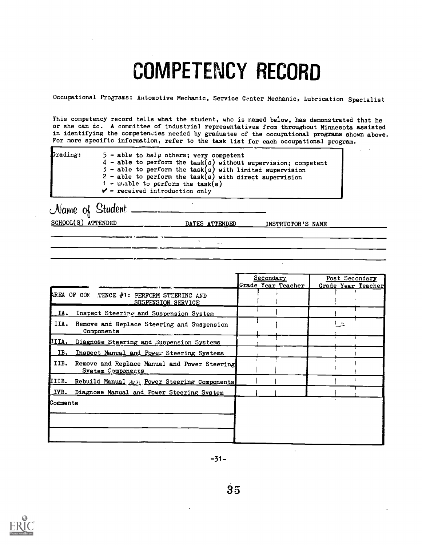# COMPETENCY RECORD

Occupational Programs: Automotive Mechanic, Service Center Mechanic, Lubrication Specialist

This competency record tells what the student, who is named below, has demonstrated that he or she can do. A committee of industrial representatives from throughout Minnesota assisted in identifying the competencies needed by graduates of the occupational programs shown above. For more specific information, refer to the task list for each occupational program.

| Grading: | $5$ - able to help others; very competent                        |
|----------|------------------------------------------------------------------|
|          | $4$ - able to perform the task(s) without supervision; competent |
|          | $3$ - able to perform the task(s) with limited supervision       |
|          | $2$ - able to perform the task(s) with direct supervision        |
|          | 1 - unable to perform the task(s)                                |
|          | $\mathcal{V}$ - received introduction only                       |

 $\overline{a}$ 

 $Name$  of Student  $=$ SCHOOL(S) ATTENDED DATES ATTENDED INSTRUCTOR'S NAME

 $\Delta$ 

 $\mathbf{r}_{\text{max}}$ 

 $\ddot{\phantom{a}}$ 

Secondary Post Secondary<br>
e Year Teacher Grade Year Teacher Grade Year Teacher AREA OF COE TENCE  $#1:$  PERFORM STEERING AND 1  $1 - 1$ 1 SUSPENSION SERVICE i i I IA. Inspect Steering and Suspension System I  $\mathsf{I}$   $\mathsf{I}$ IIA. Remove and Replace Steering and Suapension I Components IIIA. Diagnose Steering and Suspension Systems IB. Inspect Manual and Power Steering Systems<br>IIB. Remove and Replace Manual and Power Steering  $\mathbf{1}$ System Components  $\mathbf{I}$ i In the state of the state of the I  $\pm$ **IIIB. Rebuild Manual brow Steering Components I**  $\mathbf{I}$  $\blacksquare$ IVB. Diagnose Manual and Power Steering System Comments

 $-31-$ 

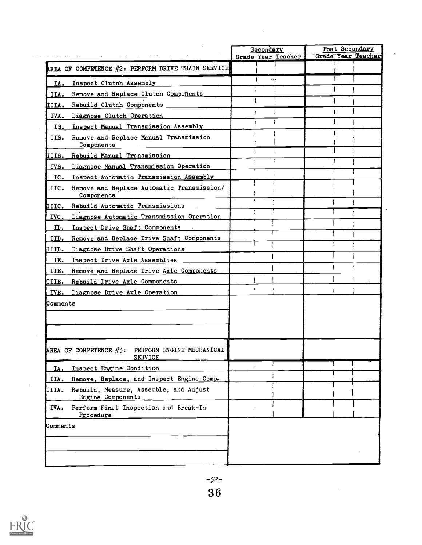|                                                                      | Secondary          | Post Secondary            |
|----------------------------------------------------------------------|--------------------|---------------------------|
|                                                                      | Grade Year Teacher | <b>Grade Year Teacher</b> |
| AREA OF COMPETENCE #2: PERFORM DRIVE TRAIN SERVICE                   |                    |                           |
| Inspect Clutch Assembly<br>IA.                                       | - \                |                           |
| Remove and Replace Clutch Components<br>IIA.                         |                    |                           |
| IIIA. Rebuild Clutch Components                                      |                    |                           |
| IVA. Diagnose Clutch Operation                                       |                    |                           |
| Inspect Manual Transmission Assembly<br>IB.                          |                    |                           |
| Remove and Replace Manual Transmission<br>IIB.<br>Components         |                    |                           |
| IIIB. Rebuild Manual Transmission                                    |                    |                           |
| Diagnose Manual Transmission Operation<br>IVB.                       |                    |                           |
| Inspect Automatic Transmission Assembly<br>IC.                       |                    |                           |
| Remove and Replace Automatic Transmission/<br>IIC.<br>Components     | ÷                  |                           |
| Rebuild Automatic Transmissions<br>IIIC.                             |                    |                           |
| Diagnose Automatic Transmission Operation<br>IVC.                    |                    |                           |
| Inspect Drive Shaft Components<br>ID.                                |                    |                           |
| Remove and Replace Drive Shaft Components<br>IID.                    |                    |                           |
| Diagnose Drive Shaft Operations<br>IIID.                             |                    |                           |
| Inspect Drive Axle Assemblies<br>IE.                                 |                    |                           |
| Remove and Replace Drive Axle Components<br>IIE.                     |                    |                           |
| Rebuild Drive Axle Components<br>IIIE.                               |                    |                           |
| IVE. Diagnose Drive Axle Operation                                   |                    |                           |
| Comments                                                             |                    |                           |
|                                                                      |                    |                           |
|                                                                      |                    |                           |
|                                                                      |                    |                           |
| AREA OF COMPETENCE #3: PERFORM ENGINE MECHANICAL<br><b>SERVICE</b>   |                    |                           |
| Inspect Engine Condition<br>IA.                                      |                    |                           |
| Remove, Replace, and Inspect Engine Comp.<br>IIA.                    | $\mathbf{I}$       |                           |
| Rebuild, Measure, Assemble, and Adjust<br>IIIA.<br>Engine Components |                    |                           |
| Perform Final Inspection and Break-In<br>IVA.<br>Procedure           |                    |                           |
| Comments                                                             |                    |                           |
|                                                                      |                    |                           |
|                                                                      |                    |                           |
|                                                                      |                    |                           |
|                                                                      |                    |                           |



 $\hat{\mathcal{A}}$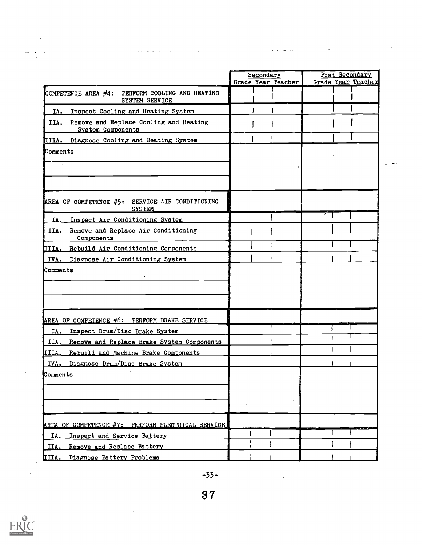|                                                                     | Secondary<br>Grade Year Teacher | Post Secondary<br><b>Grade Year Teacher</b> |  |
|---------------------------------------------------------------------|---------------------------------|---------------------------------------------|--|
| COMPETENCE AREA #4: PERFORM COOLING AND HEATING<br>SYSTEM SERVICE   |                                 |                                             |  |
| Inspect Cooling and Heating System<br>IA.                           |                                 |                                             |  |
| Remove and Replace Cooling and Heating<br>IIA.<br>System Components |                                 |                                             |  |
| IIIA. Diagnose Cooling and Heating System                           |                                 |                                             |  |
| Comments                                                            |                                 |                                             |  |
|                                                                     |                                 |                                             |  |
| AREA OF COMPETENCE $#5:$<br>SERVICE AIR CONDITIONING                |                                 |                                             |  |
| <b>SYSTEM</b><br>Inspect Air Conditioning System<br>IA.             |                                 |                                             |  |
| IIA.<br>Remove and Replace Air Conditioning<br>Components           |                                 |                                             |  |
| IIIA. Rebuild Air Conditioning Components                           |                                 |                                             |  |
| IVA. Disgnose Air Conditioning System                               |                                 |                                             |  |
| <b>Comments</b>                                                     |                                 |                                             |  |
| AREA OF COMPETENCE #6: PERFORM BRAKE SERVICE                        |                                 |                                             |  |
| Inspect Drum/Disc Brake System<br>IA.                               |                                 |                                             |  |
| IIA.<br>Remove and Replace Brake System Components                  |                                 |                                             |  |
| IIIA. Rebuild and Machine Brake Components                          |                                 |                                             |  |
| IVA. Diagnose Drum/Disc Brake System                                |                                 |                                             |  |
| Comments                                                            |                                 |                                             |  |
|                                                                     |                                 |                                             |  |
|                                                                     |                                 |                                             |  |
| AREA OF COMPETENCE #7: PERFORM ELECTRICAL SERVICE                   |                                 |                                             |  |
| Inspect and Service Battery<br>IA.                                  |                                 |                                             |  |
| IIA.<br>Remove and Replace Battery                                  |                                 |                                             |  |
| IIIA.<br>Diagnose Battery Problems                                  |                                 |                                             |  |

. The constraints of the constraints of the constraints of the constraint constraints of the constraints of  $\alpha$ 

 $\sim$   $\sigma_{\rm c}$ 

 $\label{eq:2.1} \frac{1}{\sqrt{2}}\int_{\mathbb{R}^3}\frac{1}{\sqrt{2}}\left(\frac{1}{\sqrt{2}}\right)^2\frac{1}{\sqrt{2}}\left(\frac{1}{\sqrt{2}}\right)^2\frac{1}{\sqrt{2}}\left(\frac{1}{\sqrt{2}}\right)^2.$ 



 $\frac{1}{2}$  ,  $\frac{1}{2}$ 

 $\frac{1}{\sqrt{2}}\int_{-\infty}^{\infty}d\theta\left( \frac{d\theta}{2}\right) d\theta$ 

 $\frac{\partial \mathbf{w}}{\partial \mathbf{w}} = \frac{1}{\mathbf{w}} \left[ \begin{array}{cc} \mathbf{w} & \mathbf{w} \\ \mathbf{w} & \mathbf{w} \end{array} \right]$ 

 $\mathcal{L}^{\text{max}}_{\text{max}}$  and  $\mathcal{L}^{\text{max}}_{\text{max}}$ 

 $\sim 10^{-10}$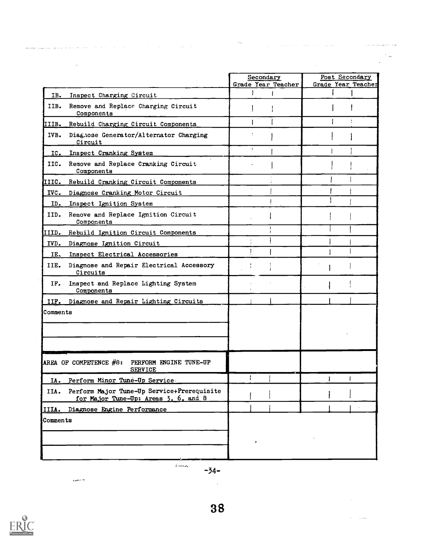|                                                                                            | Secondary<br>Grade Year Teacher | Post Secondary<br>Grade Year Teacher |
|--------------------------------------------------------------------------------------------|---------------------------------|--------------------------------------|
| Inspect Charging Circuit<br>IB.                                                            |                                 |                                      |
| IIB. Remove and Replace Charging Circuit<br>Components                                     |                                 |                                      |
| IIIB. Rebuild Charging Circuit Components                                                  |                                 | ÷                                    |
| Diagnose Generator/Alternator Charging<br>IVB.<br>Circuit                                  |                                 |                                      |
| IC. Inspect Cranking System                                                                | $\mathcal{L}^{\pm}$             |                                      |
| IIC. Remove and Replace Cranking Circuit<br>Components                                     |                                 |                                      |
| IIIC. Rebuild Cranking Circuit Components                                                  |                                 |                                      |
| IVC. Diagnose Cranking Motor Circuit                                                       |                                 |                                      |
| ID. Inspect Ignition System                                                                |                                 |                                      |
| IID. Remove and Replace Ignition Circuit<br>Components                                     |                                 |                                      |
| IIID. Rebuild Ignition Circuit Components                                                  |                                 |                                      |
| IVD. Diagnose Ignition Circuit                                                             |                                 |                                      |
| Inspect Electrical Accessories<br>$IE_{\sim}$                                              |                                 |                                      |
| Diagnose and Repair Electrical Accessory<br>IIE.<br>Circuits                               |                                 |                                      |
| Inspect and Replace Lighting System<br>IF.<br>Components                                   |                                 |                                      |
| IIF. Diagnose and Repair Lighting Circuits                                                 |                                 |                                      |
| Comments                                                                                   |                                 |                                      |
| AREA OF COMPETENCE #8: PERFORM ENGINE TUNE-UP<br><b>SERVICE</b>                            |                                 |                                      |
| IA.<br>Perform Minor Tune-Up Service                                                       | T.<br>т.                        |                                      |
| Perform Major Tune-Up Service+Prerequisite<br>IIA.<br>for Major Tune-Up: Areas 3, 6, and 8 |                                 |                                      |
| IIIA. Diagnose Engine Performance                                                          |                                 |                                      |
| Comments                                                                                   |                                 |                                      |

 $\sim$   $\sim$ 

is in

 $\bar{\beta}$ 

 $\alpha = 1.11$ 

 $\sim$ 

**Sales Ave** 

÷. Ŷ.

 $\label{eq:2.1} \mathcal{L}^{\mathcal{L}}(\mathcal{L}^{\mathcal{L}}(\mathcal{L}^{\mathcal{L}}(\mathcal{L}^{\mathcal{L}}(\mathcal{L}^{\mathcal{L}}(\mathcal{L}^{\mathcal{L}}(\mathcal{L}^{\mathcal{L}}(\mathcal{L}^{\mathcal{L}}(\mathcal{L}^{\mathcal{L}}(\mathcal{L}^{\mathcal{L}}(\mathcal{L}^{\mathcal{L}}(\mathcal{L}^{\mathcal{L}}(\mathcal{L}^{\mathcal{L}}(\mathcal{L}^{\mathcal{L}}(\mathcal{L}^{\mathcal{L}}(\mathcal{L}^{\mathcal{L}}(\mathcal$ 

 $\sim$   $^{-1}$ 

 $\mathbb{R}^2$ 

للمحافظ المالين

 $\sim$   $\omega$ 

-34--



 $\epsilon$  gamma  $\epsilon$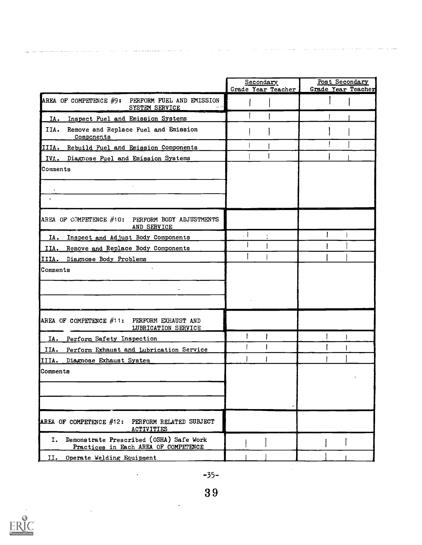|                                                                                       |                                 | Post Secondary            |  |
|---------------------------------------------------------------------------------------|---------------------------------|---------------------------|--|
|                                                                                       | Secondary<br>Grade Year Teacher | <b>Grade Year Teacher</b> |  |
| AREA OF COMPETENCE #9: PERFORM FUEL AND EMISSION<br>SYSTEM SERVICE                    |                                 |                           |  |
| Inspect Fuel and Emission Systems<br>IA.                                              |                                 |                           |  |
| Remove and Replace Fuel and Emission<br>IIA.<br>Components                            |                                 |                           |  |
| IIIA. Rebuild Fuel and Emission Components                                            |                                 |                           |  |
| Diagnose Fuel and Emission Systems<br>IVA.                                            |                                 |                           |  |
| Comments                                                                              |                                 |                           |  |
|                                                                                       |                                 |                           |  |
|                                                                                       |                                 |                           |  |
| AREA OF COMPETENCE #10: PERFORM BODY ADJUSTMENTS<br>AND SERVICE                       |                                 |                           |  |
| Inspect and Adjust Body Components<br>IA.                                             | $\cdot$ 1                       |                           |  |
| IIA. Remove and Replace Body Components                                               |                                 |                           |  |
| Diagnose Body Problems<br>IIIA.                                                       |                                 |                           |  |
| Comments                                                                              |                                 |                           |  |
| AREA OF COMPETENCE $#11:$ PERFORM EXHAUST AND<br>LUBRICATION SERVICE                  |                                 |                           |  |
| IA. Perform Safety Inspection                                                         |                                 |                           |  |
| Perform Exhaust and Lubrication Service<br>IIA.                                       |                                 |                           |  |
| Diagnose Exhaust System<br>IIIA.                                                      |                                 |                           |  |
| Comments                                                                              |                                 |                           |  |
|                                                                                       |                                 |                           |  |
|                                                                                       |                                 |                           |  |
| AREA OF COMPETENCE $#12:$ PERFORM RELATED SUBJECT<br><b>ACTIVITIES</b>                |                                 |                           |  |
| Demonstrate Prescribed (OSHA) Safe Work<br>Ι.<br>Practices in Each AREA OF COMPETENCE |                                 |                           |  |
| II.<br>Operate Welding Equipment                                                      |                                 |                           |  |

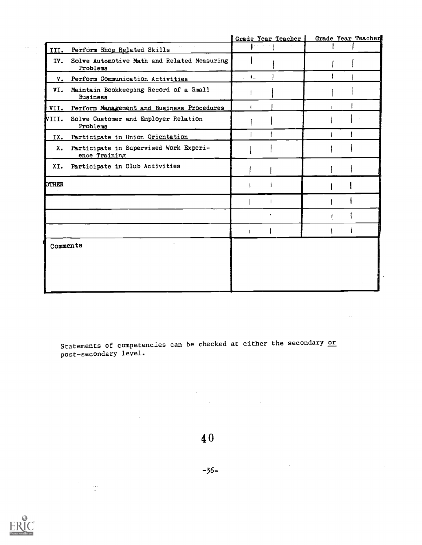|              |                                                         | Grade Year Teacher        | Grade Year Teacher |
|--------------|---------------------------------------------------------|---------------------------|--------------------|
|              | III. Perform Shop Related Skills                        |                           |                    |
| IV.          | Solve Automotive Math and Related Measuring<br>Problems |                           |                    |
| V.           | Perform Communication Activities                        | $\mathbf{L} = \mathbf{L}$ |                    |
| VI.          | Maintain Bookkeeping Record of a Small<br>Business      |                           |                    |
|              | VII. Perform Management and Business Procedures         |                           |                    |
| VIII.        | Solve Customer and Employer Relation<br>Problems        |                           |                    |
| IX.          | Participate in Union Orientation                        |                           |                    |
| х.           | Participate in Supervised Work Experi-<br>ence Training |                           |                    |
| XI.          | Participate in Club Activities                          |                           |                    |
| <b>OTHER</b> |                                                         |                           |                    |
|              |                                                         |                           |                    |
|              |                                                         |                           |                    |
|              |                                                         |                           |                    |
| Comments     |                                                         |                           |                    |

Statements of competencies can be checked at either the secondary or post-secondary level.

 $\cdot$ 

 $\sim$ 

4 0

-36-



 $\hat{\mathcal{L}}$ 

 $\frac{1}{2}$  and

 $\sim$   $\sigma$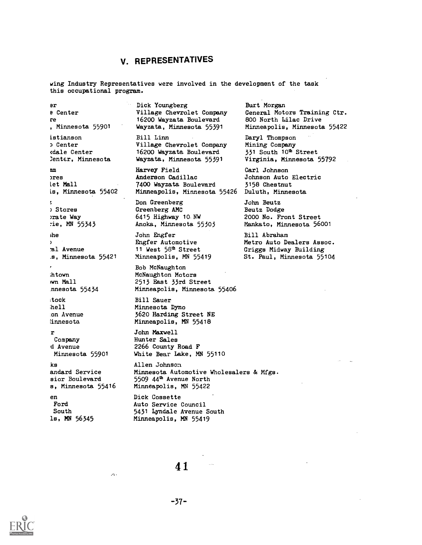# V. REPRESENTATIVES

wing Industry Representatives were involved in the development of the task this occupational program.

Bre Center re, Minnesota 55901 istianson D Center viale Center 3enter, Minnesota nmmes Let Mall is, Minnesota 55402 Y. ) Stores mate Way 7ie, MN 55343 ihe  $\lambda$ !al Avenue Minnesota 55421 htown NM Mall nnesota 55434 tack bell ;on Avenue innesota  $\mathbf{r}$ Company d Avenue Minnesota 55901 ks andard Service sior Boulevard s, Minnesota 55416 enFord South ls, MN 56345

Dick Youngberg Village Chevrolet Company 16200 Wayzata Boulevard Wayzata, Minnesota 55391 Bill Linn Village Chevrolet Company

16200 Wayzata Boulevard Wayzata, Minnesota 55391

Harvey Field Anderson Cadillac 7400 Wayzata Boulevard Minneapolis, Minnesota 55426

Don Greenberg Greenberg AMC 6415 Highway 10-NW Anoka, Minnesota 55303

John Engfer Engfer Automotive 11 West 58<sup>th</sup> Street Minneapolis, MN 55419

Bob McNaughton McNaughton Motors 2513 East 33rd Street Minneapolis, Minnesota 55406

Bill Sauer Minnesota Dyno 3620 Harding Street NE Minneapolis, MN 55418

John Maxwell Hunter Sales 2266 County Road F White Bear Lake, MN 55110

Allen Johnson Minnesota Automotive Wholesalers & Wigs. 5509 44th Avenue North Minneapolis, MN 55422

Dick Cossette Auto Service Council 5431 Lyndale Avenue South Minneapolis, MN 55419

Burt Morgan General Motors Training Ctr. 800 North Lilac Drive Minneapolis, Minnesota 55422

Daryl Thompson Mining Company 331 South 10<sup>th</sup> Street Virginia, Minnesota 55792

Garl Johnson Johnson Auto Electric 3158 Chestnut Duluth, Minnesota

John Beutz Beutz Dodge 2000 No. Front Street Mankato, Minnesota 56001

Bill Abraham Metro Auto Dealers Assoc. Griggs Midway Building St. Paul, Minnesota 55104

-37-

 $\Delta$  .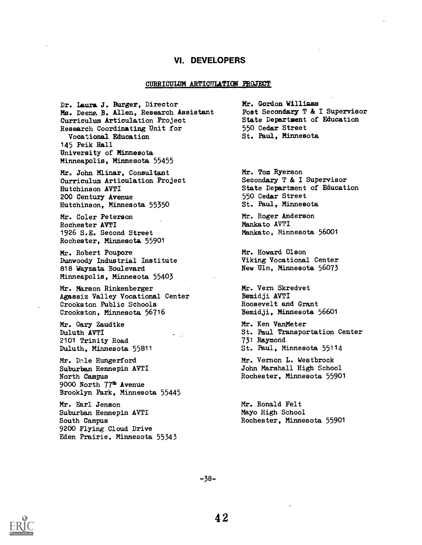# VI. DEVELOPERS

#### CURRICULUM ARTICULATION PROJECT

Dr. Laura J. Burger, Director Ms. Deeng. B. Allen, Research Assistant Curriculum Articulation Project Research Coordinating Unit for Vocational Education 145 Peik Hall University of Minnesota Minneapolis, Minnesota 55455

Mr. John Minar, Consultant Curriculum Articulation Project Hutchinson AVTI 200 Century Avenue Hutchinson, Minnesota 55350

Mr. Coler Peterson Rochester AVTI 1926 S.E. Second Street Rochester, Minnesota 55901

Mr. Robert Poupore Dunwoody Industrial Institute 818 Wayzata Boulevard Minneapolis, Minnesota 55403

Mt. Marson Rinkenberger Agassiz Valley Vocational Center Crookston Public Schools Crookston, Minnesota 56716

Marias

Mr. Gary Zaudtke Duluth AVTI 2101 Trinity Road Duluth, Minnesota 55811

Mr. Dale Hungerford Suburban Hennepin ANTI North Campus 9000 North 77<sup>th</sup> Avenue Brooklyn Park, Minnesota 55445

Mr. Earl Jenson Suburban Hennepin AVTI South Campus 9200 Flying Cloud Drive Eden Prairie, Minnesota 55343 Mr. Gordon Willians Post Secondary T & I Supervisor State Department of Education 550 Cedar Street St. Paul, Minnesota

Mr. Tom Ryerson Secondary T & I Supervisor State Department of Education 550 Cedar Street St. Paul, Minnesota

Mt. Roger Anderson Mankato AVTI Mankato, Minnesota 56001

Mr. Howard Olson Viking Vocational Center New Ulm, Minnesota 56073

Mr. Vern Skredvet Bemidji AVTI Roosevelt and Grant Bemidji, Minnesota 56601

Mr. Ken VanMeter St. Paul Transportation Center 731 Raymond St. Paul, Minnesota 55114

Mr. Vernon L. Westbrook John Marshall High School Rochester, Minnesota 55901

Mr. Ronald Felt Mayo High School Rochester, Minnesota 55901

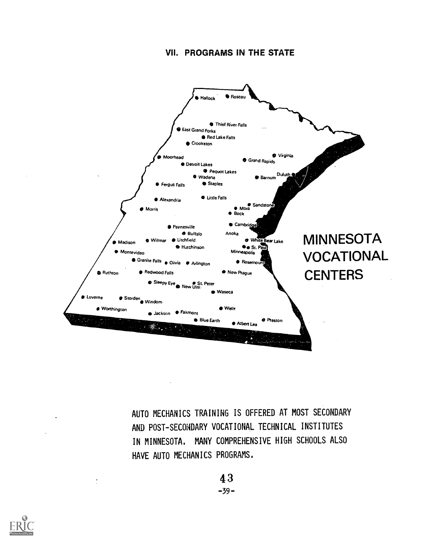# VII. PROGRAMS IN THE STATE



AUTO MECHANICS TRAINING IS OFFERED AT MOST SECONDARY AND POST-SECONDARY VOCATIONAL TECHNICAL INSTITUTES IN MINNESOTA. MANY COMPREHENSIVE HIGH SCHOOLS ALSO HAVE AUTO MECHANICS PROGRAMS.

> 4 3  $-39-$